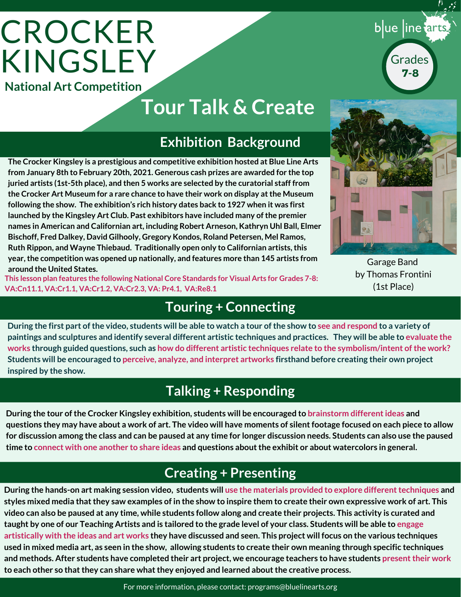# **CROCKER** KINGSLEY **National Art Competition**

## **Tour Talk & Create**

#### **Exhibition Background**

**The Crocker Kingsley is a prestigious and competitive exhibition hosted at Blue Line Arts from January 8th to February 20th, 2021. Generous cash prizes are awarded for the top juried artists (1st-5th place), and then 5 works are selected by the curatorial staff from the Crocker Art Museum for a rare chance to have their work on display atthe Museum following the show. The exhibition's rich history dates back to 1927 when it was first launched by the Kingsley Art Club. Past exhibitors have included many ofthe premier names in American and Californian art, including Robert Arneson, Kathryn Uhl Ball, Elmer Bischoff, Fred Dalkey, David Gilhooly, Gregory Kondos, Roland Petersen, Mel Ramos, Ruth Rippon, and Wayne Thiebaud. Traditionally open only to Californian artists,this year,the competition was opened up nationally, and features more than 145 artists from around the United States.**

**This lesson plan features the following National Core Standards for Visual Arts for Grades 7-8: VA:Cn11.1, VA:Cr1.1, VA:Cr1.2, VA:Cr2.3, VA: Pr4.1, VA:Re8.1**

#### **Touring + Connecting**

During the first part of the video, students will be able to watch a tour of the show to see and respond to a variety of paintings and sculptures and identify several different artistic techniques and practices. They will be able to evaluate the works through guided questions, such as how do different artistic techniques relate to the symbolism/intent of the work? Students will be encouraged to perceive, analyze, and interpret artworks firsthand before creating their own project **inspired by the show.**

#### **Talking + Responding**

**During the tour ofthe Crocker Kingsley exhibition, students will be encouraged to brainstorm differentideas and** questions they may have about a work of art. The video will have moments of silent footage focused on each piece to allow for discussion among the class and can be paused at any time for longer discussion needs. Students can also use the paused time to connect with one another to share ideas and questions about the exhibit or about watercolors in general.

### **Creating + Presenting**

During the hands-on art making session video, students will use the materials provided to explore different techniques and styles mixed media that they saw examples of in the show to inspire them to create their own expressive work of art. This video can also be paused at any time, while students follow along and create their projects. This activity is curated and taught by one of our Teaching Artists and is tailored to the grade level of your class. Students will be able to engage artistically with the ideas and art works they have discussed and seen. This project will focus on the various techniques used in mixed media art, as seen in the show, allowing students to create their own meaning through specific techniques and methods. After students have completed their art project, we encourage teachers to have students present their work **to each other so thatthey can share whatthey enjoyed and learned aboutthe creative process.**

Garage Band by Thomas Frontini (1st Place)



blue line tarts